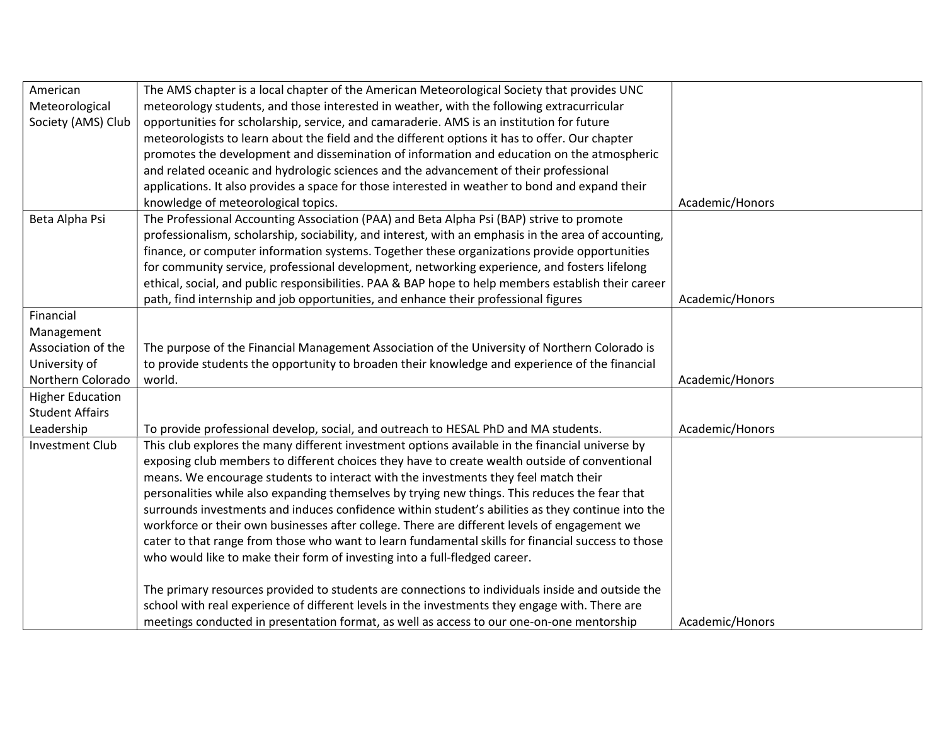| American                | The AMS chapter is a local chapter of the American Meteorological Society that provides UNC          |                 |
|-------------------------|------------------------------------------------------------------------------------------------------|-----------------|
| Meteorological          | meteorology students, and those interested in weather, with the following extracurricular            |                 |
| Society (AMS) Club      | opportunities for scholarship, service, and camaraderie. AMS is an institution for future            |                 |
|                         | meteorologists to learn about the field and the different options it has to offer. Our chapter       |                 |
|                         | promotes the development and dissemination of information and education on the atmospheric           |                 |
|                         | and related oceanic and hydrologic sciences and the advancement of their professional                |                 |
|                         | applications. It also provides a space for those interested in weather to bond and expand their      |                 |
|                         | knowledge of meteorological topics.                                                                  | Academic/Honors |
| Beta Alpha Psi          | The Professional Accounting Association (PAA) and Beta Alpha Psi (BAP) strive to promote             |                 |
|                         | professionalism, scholarship, sociability, and interest, with an emphasis in the area of accounting, |                 |
|                         | finance, or computer information systems. Together these organizations provide opportunities         |                 |
|                         | for community service, professional development, networking experience, and fosters lifelong         |                 |
|                         | ethical, social, and public responsibilities. PAA & BAP hope to help members establish their career  |                 |
|                         | path, find internship and job opportunities, and enhance their professional figures                  | Academic/Honors |
| Financial               |                                                                                                      |                 |
| Management              |                                                                                                      |                 |
| Association of the      | The purpose of the Financial Management Association of the University of Northern Colorado is        |                 |
| University of           | to provide students the opportunity to broaden their knowledge and experience of the financial       |                 |
| Northern Colorado       | world.                                                                                               | Academic/Honors |
| <b>Higher Education</b> |                                                                                                      |                 |
| <b>Student Affairs</b>  |                                                                                                      |                 |
| Leadership              | To provide professional develop, social, and outreach to HESAL PhD and MA students.                  | Academic/Honors |
| <b>Investment Club</b>  | This club explores the many different investment options available in the financial universe by      |                 |
|                         | exposing club members to different choices they have to create wealth outside of conventional        |                 |
|                         | means. We encourage students to interact with the investments they feel match their                  |                 |
|                         | personalities while also expanding themselves by trying new things. This reduces the fear that       |                 |
|                         | surrounds investments and induces confidence within student's abilities as they continue into the    |                 |
|                         | workforce or their own businesses after college. There are different levels of engagement we         |                 |
|                         | cater to that range from those who want to learn fundamental skills for financial success to those   |                 |
|                         | who would like to make their form of investing into a full-fledged career.                           |                 |
|                         |                                                                                                      |                 |
|                         | The primary resources provided to students are connections to individuals inside and outside the     |                 |
|                         | school with real experience of different levels in the investments they engage with. There are       |                 |
|                         | meetings conducted in presentation format, as well as access to our one-on-one mentorship            | Academic/Honors |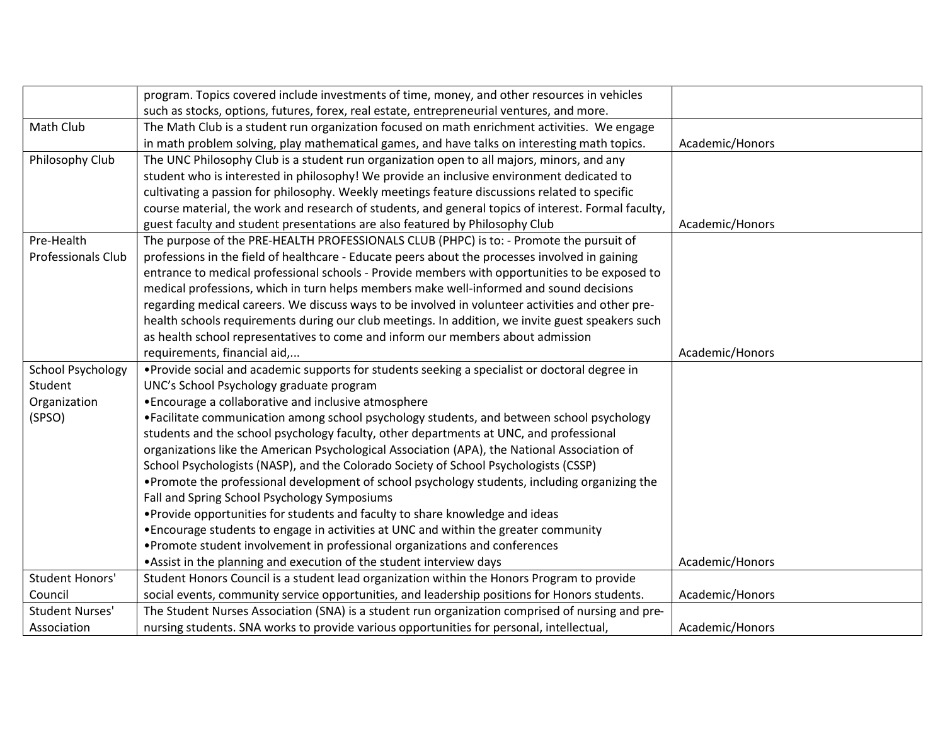|                           | program. Topics covered include investments of time, money, and other resources in vehicles         |                 |
|---------------------------|-----------------------------------------------------------------------------------------------------|-----------------|
|                           | such as stocks, options, futures, forex, real estate, entrepreneurial ventures, and more.           |                 |
| Math Club                 | The Math Club is a student run organization focused on math enrichment activities. We engage        |                 |
|                           | in math problem solving, play mathematical games, and have talks on interesting math topics.        | Academic/Honors |
| Philosophy Club           | The UNC Philosophy Club is a student run organization open to all majors, minors, and any           |                 |
|                           | student who is interested in philosophy! We provide an inclusive environment dedicated to           |                 |
|                           | cultivating a passion for philosophy. Weekly meetings feature discussions related to specific       |                 |
|                           | course material, the work and research of students, and general topics of interest. Formal faculty, |                 |
|                           | guest faculty and student presentations are also featured by Philosophy Club                        | Academic/Honors |
| Pre-Health                | The purpose of the PRE-HEALTH PROFESSIONALS CLUB (PHPC) is to: - Promote the pursuit of             |                 |
| <b>Professionals Club</b> | professions in the field of healthcare - Educate peers about the processes involved in gaining      |                 |
|                           | entrance to medical professional schools - Provide members with opportunities to be exposed to      |                 |
|                           | medical professions, which in turn helps members make well-informed and sound decisions             |                 |
|                           | regarding medical careers. We discuss ways to be involved in volunteer activities and other pre-    |                 |
|                           | health schools requirements during our club meetings. In addition, we invite guest speakers such    |                 |
|                           | as health school representatives to come and inform our members about admission                     |                 |
|                           | requirements, financial aid,                                                                        | Academic/Honors |
| <b>School Psychology</b>  | • Provide social and academic supports for students seeking a specialist or doctoral degree in      |                 |
| Student                   | UNC's School Psychology graduate program                                                            |                 |
| Organization              | • Encourage a collaborative and inclusive atmosphere                                                |                 |
| (SPSO)                    | •Facilitate communication among school psychology students, and between school psychology           |                 |
|                           | students and the school psychology faculty, other departments at UNC, and professional              |                 |
|                           | organizations like the American Psychological Association (APA), the National Association of        |                 |
|                           | School Psychologists (NASP), and the Colorado Society of School Psychologists (CSSP)                |                 |
|                           | . Promote the professional development of school psychology students, including organizing the      |                 |
|                           | Fall and Spring School Psychology Symposiums                                                        |                 |
|                           | . Provide opportunities for students and faculty to share knowledge and ideas                       |                 |
|                           | • Encourage students to engage in activities at UNC and within the greater community                |                 |
|                           | • Promote student involvement in professional organizations and conferences                         |                 |
|                           | • Assist in the planning and execution of the student interview days                                | Academic/Honors |
| <b>Student Honors'</b>    | Student Honors Council is a student lead organization within the Honors Program to provide          |                 |
| Council                   | social events, community service opportunities, and leadership positions for Honors students.       | Academic/Honors |
| <b>Student Nurses'</b>    | The Student Nurses Association (SNA) is a student run organization comprised of nursing and pre-    |                 |
| Association               | nursing students. SNA works to provide various opportunities for personal, intellectual,            | Academic/Honors |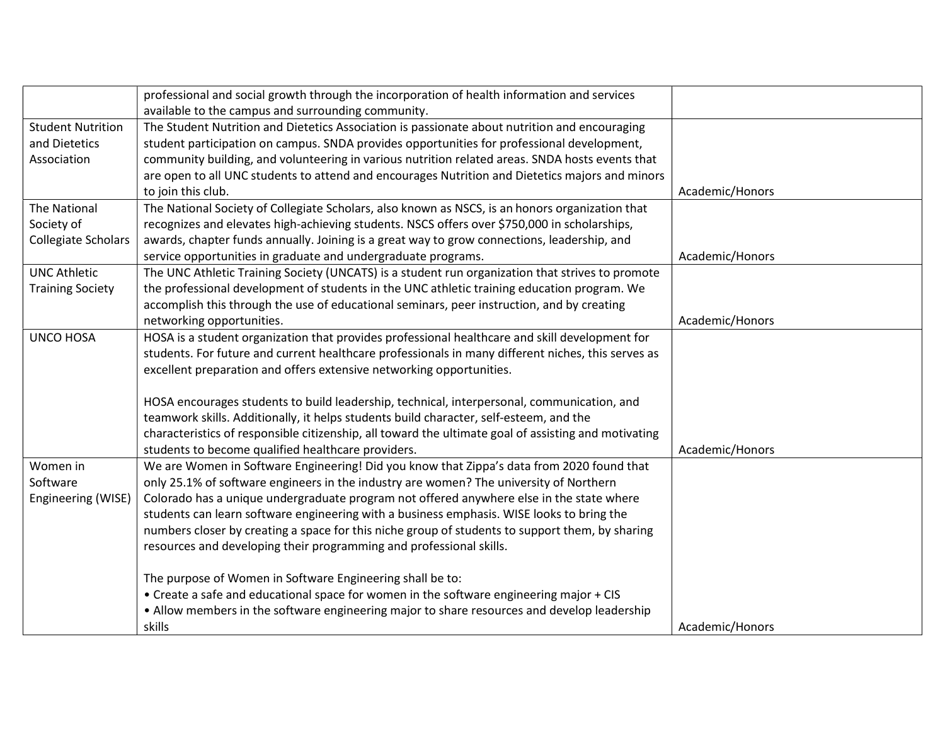|                            | professional and social growth through the incorporation of health information and services                                                                |                 |
|----------------------------|------------------------------------------------------------------------------------------------------------------------------------------------------------|-----------------|
|                            | available to the campus and surrounding community.                                                                                                         |                 |
| <b>Student Nutrition</b>   | The Student Nutrition and Dietetics Association is passionate about nutrition and encouraging                                                              |                 |
| and Dietetics              | student participation on campus. SNDA provides opportunities for professional development,                                                                 |                 |
| Association                | community building, and volunteering in various nutrition related areas. SNDA hosts events that                                                            |                 |
|                            | are open to all UNC students to attend and encourages Nutrition and Dietetics majors and minors                                                            |                 |
|                            | to join this club.                                                                                                                                         | Academic/Honors |
| <b>The National</b>        | The National Society of Collegiate Scholars, also known as NSCS, is an honors organization that                                                            |                 |
| Society of                 | recognizes and elevates high-achieving students. NSCS offers over \$750,000 in scholarships,                                                               |                 |
| <b>Collegiate Scholars</b> | awards, chapter funds annually. Joining is a great way to grow connections, leadership, and                                                                |                 |
|                            | service opportunities in graduate and undergraduate programs.                                                                                              | Academic/Honors |
| <b>UNC Athletic</b>        | The UNC Athletic Training Society (UNCATS) is a student run organization that strives to promote                                                           |                 |
| <b>Training Society</b>    | the professional development of students in the UNC athletic training education program. We                                                                |                 |
|                            | accomplish this through the use of educational seminars, peer instruction, and by creating                                                                 |                 |
|                            | networking opportunities.                                                                                                                                  | Academic/Honors |
| <b>UNCO HOSA</b>           | HOSA is a student organization that provides professional healthcare and skill development for                                                             |                 |
|                            | students. For future and current healthcare professionals in many different niches, this serves as                                                         |                 |
|                            | excellent preparation and offers extensive networking opportunities.                                                                                       |                 |
|                            | HOSA encourages students to build leadership, technical, interpersonal, communication, and                                                                 |                 |
|                            | teamwork skills. Additionally, it helps students build character, self-esteem, and the                                                                     |                 |
|                            |                                                                                                                                                            |                 |
|                            | characteristics of responsible citizenship, all toward the ultimate goal of assisting and motivating<br>students to become qualified healthcare providers. | Academic/Honors |
| Women in                   | We are Women in Software Engineering! Did you know that Zippa's data from 2020 found that                                                                  |                 |
| Software                   | only 25.1% of software engineers in the industry are women? The university of Northern                                                                     |                 |
|                            |                                                                                                                                                            |                 |
| Engineering (WISE)         | Colorado has a unique undergraduate program not offered anywhere else in the state where                                                                   |                 |
|                            | students can learn software engineering with a business emphasis. WISE looks to bring the                                                                  |                 |
|                            | numbers closer by creating a space for this niche group of students to support them, by sharing                                                            |                 |
|                            | resources and developing their programming and professional skills.                                                                                        |                 |
|                            | The purpose of Women in Software Engineering shall be to:                                                                                                  |                 |
|                            | • Create a safe and educational space for women in the software engineering major + CIS                                                                    |                 |
|                            | • Allow members in the software engineering major to share resources and develop leadership                                                                |                 |
|                            | skills                                                                                                                                                     | Academic/Honors |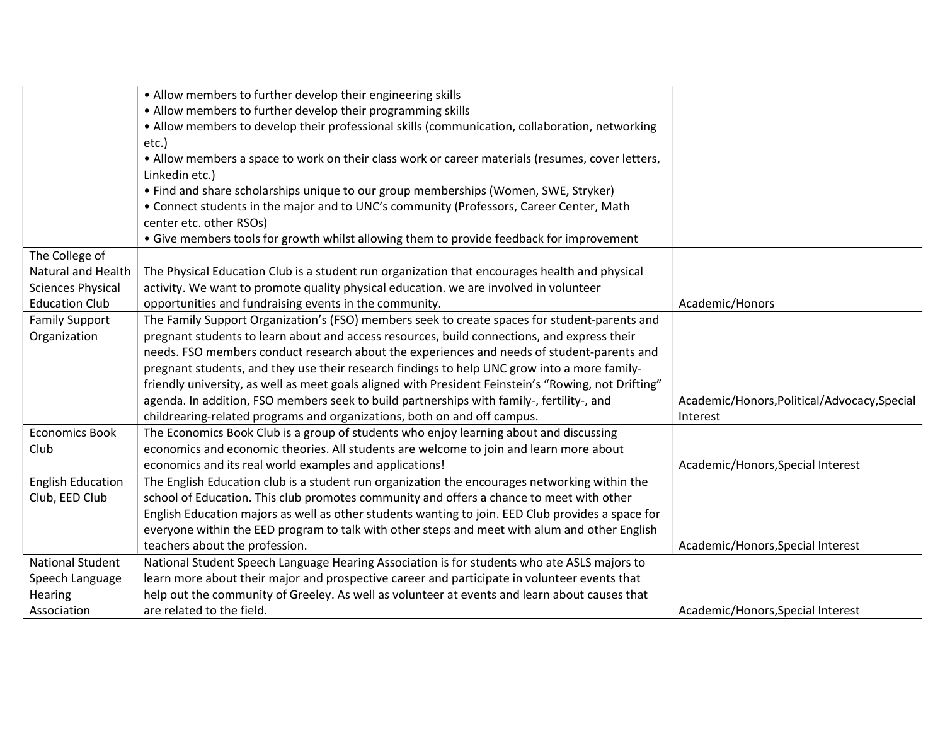|                           | • Allow members to further develop their engineering skills                                          |                                              |
|---------------------------|------------------------------------------------------------------------------------------------------|----------------------------------------------|
|                           | • Allow members to further develop their programming skills                                          |                                              |
|                           | . Allow members to develop their professional skills (communication, collaboration, networking       |                                              |
|                           | etc.)                                                                                                |                                              |
|                           | . Allow members a space to work on their class work or career materials (resumes, cover letters,     |                                              |
|                           | Linkedin etc.)                                                                                       |                                              |
|                           | • Find and share scholarships unique to our group memberships (Women, SWE, Stryker)                  |                                              |
|                           | • Connect students in the major and to UNC's community (Professors, Career Center, Math              |                                              |
|                           | center etc. other RSOs)                                                                              |                                              |
|                           | • Give members tools for growth whilst allowing them to provide feedback for improvement             |                                              |
| The College of            |                                                                                                      |                                              |
| <b>Natural and Health</b> | The Physical Education Club is a student run organization that encourages health and physical        |                                              |
| <b>Sciences Physical</b>  | activity. We want to promote quality physical education. we are involved in volunteer                |                                              |
| <b>Education Club</b>     | opportunities and fundraising events in the community.                                               | Academic/Honors                              |
| <b>Family Support</b>     | The Family Support Organization's (FSO) members seek to create spaces for student-parents and        |                                              |
| Organization              | pregnant students to learn about and access resources, build connections, and express their          |                                              |
|                           | needs. FSO members conduct research about the experiences and needs of student-parents and           |                                              |
|                           | pregnant students, and they use their research findings to help UNC grow into a more family-         |                                              |
|                           | friendly university, as well as meet goals aligned with President Feinstein's "Rowing, not Drifting" |                                              |
|                           | agenda. In addition, FSO members seek to build partnerships with family-, fertility-, and            | Academic/Honors, Political/Advocacy, Special |
|                           | childrearing-related programs and organizations, both on and off campus.                             | Interest                                     |
| <b>Economics Book</b>     | The Economics Book Club is a group of students who enjoy learning about and discussing               |                                              |
| Club                      | economics and economic theories. All students are welcome to join and learn more about               |                                              |
|                           | economics and its real world examples and applications!                                              | Academic/Honors, Special Interest            |
| <b>English Education</b>  | The English Education club is a student run organization the encourages networking within the        |                                              |
| Club, EED Club            | school of Education. This club promotes community and offers a chance to meet with other             |                                              |
|                           | English Education majors as well as other students wanting to join. EED Club provides a space for    |                                              |
|                           | everyone within the EED program to talk with other steps and meet with alum and other English        |                                              |
|                           | teachers about the profession.                                                                       | Academic/Honors, Special Interest            |
| <b>National Student</b>   | National Student Speech Language Hearing Association is for students who ate ASLS majors to          |                                              |
| Speech Language           | learn more about their major and prospective career and participate in volunteer events that         |                                              |
| Hearing                   | help out the community of Greeley. As well as volunteer at events and learn about causes that        |                                              |
| Association               | are related to the field.                                                                            | Academic/Honors, Special Interest            |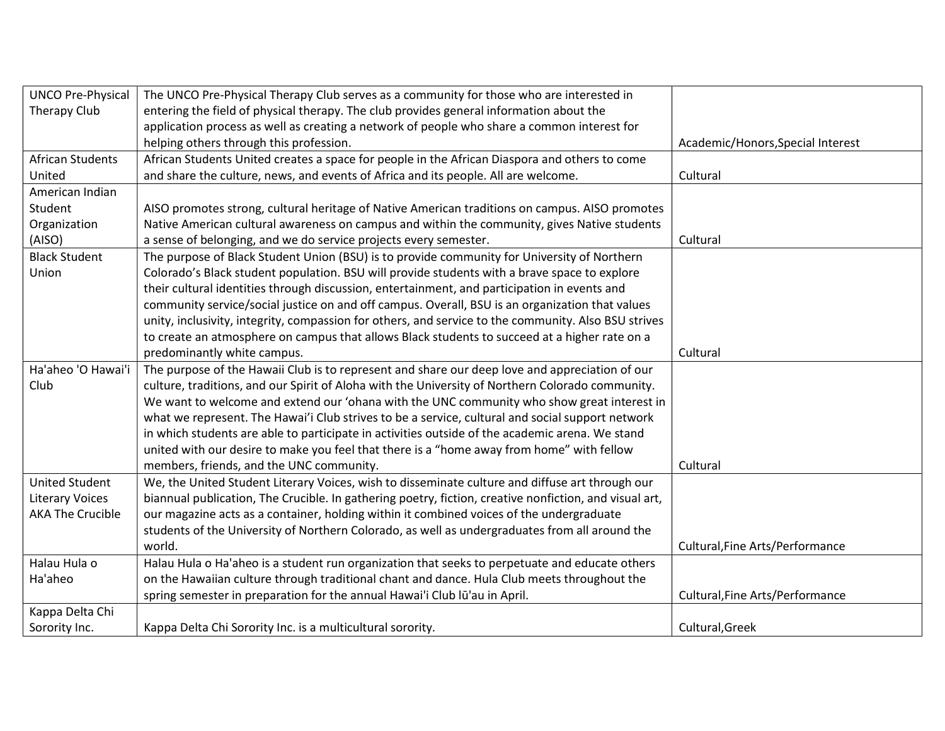| <b>UNCO Pre-Physical</b> | The UNCO Pre-Physical Therapy Club serves as a community for those who are interested in               |                                   |
|--------------------------|--------------------------------------------------------------------------------------------------------|-----------------------------------|
| Therapy Club             | entering the field of physical therapy. The club provides general information about the                |                                   |
|                          | application process as well as creating a network of people who share a common interest for            |                                   |
|                          | helping others through this profession.                                                                | Academic/Honors, Special Interest |
| <b>African Students</b>  | African Students United creates a space for people in the African Diaspora and others to come          |                                   |
| United                   | and share the culture, news, and events of Africa and its people. All are welcome.                     | Cultural                          |
| American Indian          |                                                                                                        |                                   |
| Student                  | AISO promotes strong, cultural heritage of Native American traditions on campus. AISO promotes         |                                   |
| Organization             | Native American cultural awareness on campus and within the community, gives Native students           |                                   |
| (AISO)                   | a sense of belonging, and we do service projects every semester.                                       | Cultural                          |
| <b>Black Student</b>     | The purpose of Black Student Union (BSU) is to provide community for University of Northern            |                                   |
| Union                    | Colorado's Black student population. BSU will provide students with a brave space to explore           |                                   |
|                          | their cultural identities through discussion, entertainment, and participation in events and           |                                   |
|                          | community service/social justice on and off campus. Overall, BSU is an organization that values        |                                   |
|                          | unity, inclusivity, integrity, compassion for others, and service to the community. Also BSU strives   |                                   |
|                          | to create an atmosphere on campus that allows Black students to succeed at a higher rate on a          |                                   |
|                          | predominantly white campus.                                                                            | Cultural                          |
| Ha'aheo 'O Hawai'i       | The purpose of the Hawaii Club is to represent and share our deep love and appreciation of our         |                                   |
| Club                     | culture, traditions, and our Spirit of Aloha with the University of Northern Colorado community.       |                                   |
|                          | We want to welcome and extend our 'ohana with the UNC community who show great interest in             |                                   |
|                          | what we represent. The Hawai'i Club strives to be a service, cultural and social support network       |                                   |
|                          | in which students are able to participate in activities outside of the academic arena. We stand        |                                   |
|                          | united with our desire to make you feel that there is a "home away from home" with fellow              |                                   |
|                          | members, friends, and the UNC community.                                                               | Cultural                          |
| <b>United Student</b>    | We, the United Student Literary Voices, wish to disseminate culture and diffuse art through our        |                                   |
| <b>Literary Voices</b>   | biannual publication, The Crucible. In gathering poetry, fiction, creative nonfiction, and visual art, |                                   |
| <b>AKA The Crucible</b>  | our magazine acts as a container, holding within it combined voices of the undergraduate               |                                   |
|                          | students of the University of Northern Colorado, as well as undergraduates from all around the         |                                   |
|                          | world.                                                                                                 | Cultural, Fine Arts/Performance   |
| Halau Hula o             | Halau Hula o Ha'aheo is a student run organization that seeks to perpetuate and educate others         |                                   |
| Ha'aheo                  | on the Hawaiian culture through traditional chant and dance. Hula Club meets throughout the            |                                   |
|                          | spring semester in preparation for the annual Hawai'i Club lū'au in April.                             | Cultural, Fine Arts/Performance   |
| Kappa Delta Chi          |                                                                                                        |                                   |
| Sorority Inc.            | Kappa Delta Chi Sorority Inc. is a multicultural sorority.                                             | Cultural, Greek                   |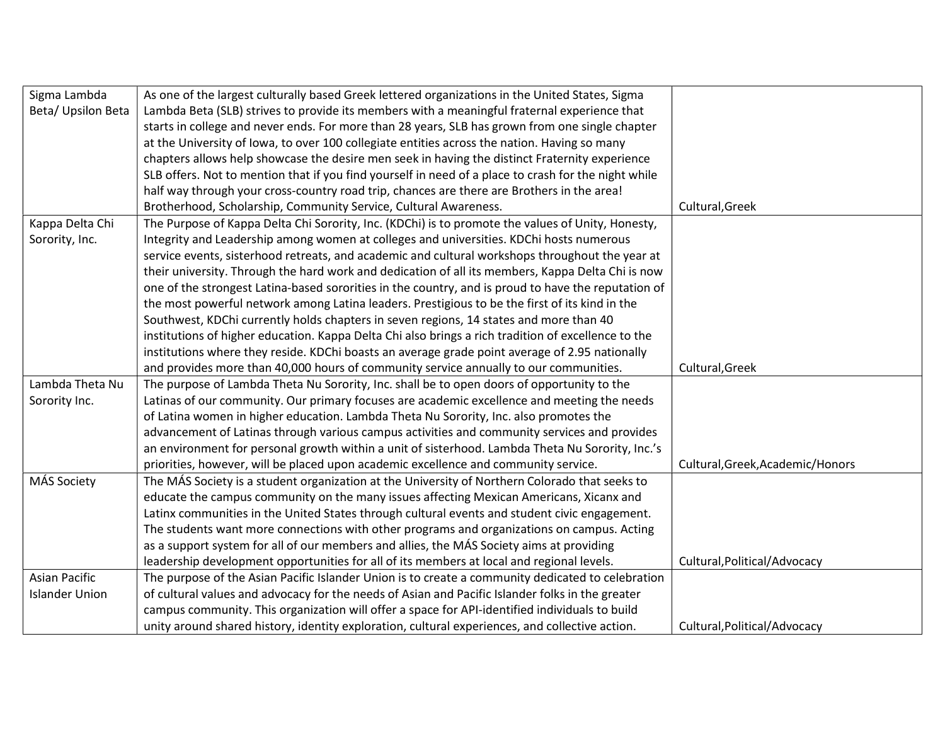| Sigma Lambda          | As one of the largest culturally based Greek lettered organizations in the United States, Sigma      |                                  |
|-----------------------|------------------------------------------------------------------------------------------------------|----------------------------------|
| Beta/ Upsilon Beta    | Lambda Beta (SLB) strives to provide its members with a meaningful fraternal experience that         |                                  |
|                       | starts in college and never ends. For more than 28 years, SLB has grown from one single chapter      |                                  |
|                       | at the University of Iowa, to over 100 collegiate entities across the nation. Having so many         |                                  |
|                       | chapters allows help showcase the desire men seek in having the distinct Fraternity experience       |                                  |
|                       | SLB offers. Not to mention that if you find yourself in need of a place to crash for the night while |                                  |
|                       | half way through your cross-country road trip, chances are there are Brothers in the area!           |                                  |
|                       | Brotherhood, Scholarship, Community Service, Cultural Awareness.                                     | Cultural, Greek                  |
| Kappa Delta Chi       | The Purpose of Kappa Delta Chi Sorority, Inc. (KDChi) is to promote the values of Unity, Honesty,    |                                  |
| Sorority, Inc.        | Integrity and Leadership among women at colleges and universities. KDChi hosts numerous              |                                  |
|                       | service events, sisterhood retreats, and academic and cultural workshops throughout the year at      |                                  |
|                       | their university. Through the hard work and dedication of all its members, Kappa Delta Chi is now    |                                  |
|                       | one of the strongest Latina-based sororities in the country, and is proud to have the reputation of  |                                  |
|                       | the most powerful network among Latina leaders. Prestigious to be the first of its kind in the       |                                  |
|                       | Southwest, KDChi currently holds chapters in seven regions, 14 states and more than 40               |                                  |
|                       | institutions of higher education. Kappa Delta Chi also brings a rich tradition of excellence to the  |                                  |
|                       | institutions where they reside. KDChi boasts an average grade point average of 2.95 nationally       |                                  |
|                       | and provides more than 40,000 hours of community service annually to our communities.                | Cultural, Greek                  |
| Lambda Theta Nu       | The purpose of Lambda Theta Nu Sorority, Inc. shall be to open doors of opportunity to the           |                                  |
| Sorority Inc.         | Latinas of our community. Our primary focuses are academic excellence and meeting the needs          |                                  |
|                       | of Latina women in higher education. Lambda Theta Nu Sorority, Inc. also promotes the                |                                  |
|                       | advancement of Latinas through various campus activities and community services and provides         |                                  |
|                       | an environment for personal growth within a unit of sisterhood. Lambda Theta Nu Sorority, Inc.'s     |                                  |
|                       | priorities, however, will be placed upon academic excellence and community service.                  | Cultural, Greek, Academic/Honors |
| MÁS Society           | The MÁS Society is a student organization at the University of Northern Colorado that seeks to       |                                  |
|                       | educate the campus community on the many issues affecting Mexican Americans, Xicanx and              |                                  |
|                       | Latinx communities in the United States through cultural events and student civic engagement.        |                                  |
|                       | The students want more connections with other programs and organizations on campus. Acting           |                                  |
|                       | as a support system for all of our members and allies, the MÁS Society aims at providing             |                                  |
|                       | leadership development opportunities for all of its members at local and regional levels.            | Cultural, Political/Advocacy     |
| Asian Pacific         | The purpose of the Asian Pacific Islander Union is to create a community dedicated to celebration    |                                  |
| <b>Islander Union</b> | of cultural values and advocacy for the needs of Asian and Pacific Islander folks in the greater     |                                  |
|                       | campus community. This organization will offer a space for API-identified individuals to build       |                                  |
|                       | unity around shared history, identity exploration, cultural experiences, and collective action.      | Cultural, Political/Advocacy     |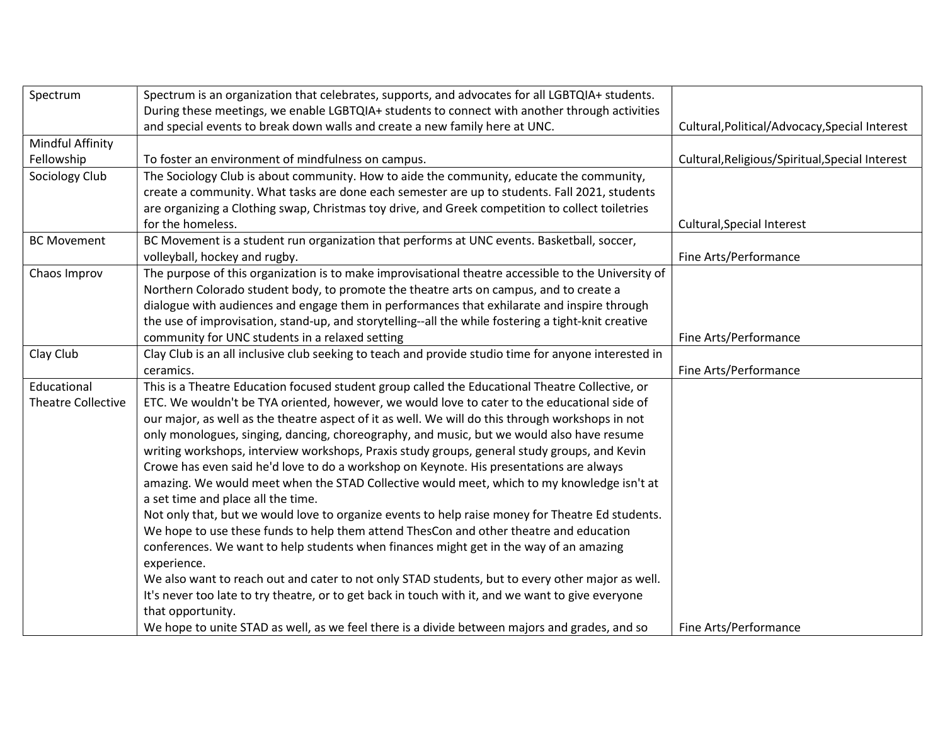| Spectrum                  | Spectrum is an organization that celebrates, supports, and advocates for all LGBTQIA+ students.      |                                                 |
|---------------------------|------------------------------------------------------------------------------------------------------|-------------------------------------------------|
|                           | During these meetings, we enable LGBTQIA+ students to connect with another through activities        |                                                 |
|                           | and special events to break down walls and create a new family here at UNC.                          | Cultural, Political/Advocacy, Special Interest  |
| Mindful Affinity          |                                                                                                      |                                                 |
| Fellowship                | To foster an environment of mindfulness on campus.                                                   | Cultural, Religious/Spiritual, Special Interest |
| Sociology Club            | The Sociology Club is about community. How to aide the community, educate the community,             |                                                 |
|                           | create a community. What tasks are done each semester are up to students. Fall 2021, students        |                                                 |
|                           | are organizing a Clothing swap, Christmas toy drive, and Greek competition to collect toiletries     |                                                 |
|                           | for the homeless.                                                                                    | Cultural, Special Interest                      |
| <b>BC Movement</b>        | BC Movement is a student run organization that performs at UNC events. Basketball, soccer,           |                                                 |
|                           | volleyball, hockey and rugby.                                                                        | Fine Arts/Performance                           |
| Chaos Improv              | The purpose of this organization is to make improvisational theatre accessible to the University of  |                                                 |
|                           | Northern Colorado student body, to promote the theatre arts on campus, and to create a               |                                                 |
|                           | dialogue with audiences and engage them in performances that exhilarate and inspire through          |                                                 |
|                           | the use of improvisation, stand-up, and storytelling--all the while fostering a tight-knit creative  |                                                 |
|                           | community for UNC students in a relaxed setting                                                      | Fine Arts/Performance                           |
| Clay Club                 | Clay Club is an all inclusive club seeking to teach and provide studio time for anyone interested in |                                                 |
|                           | ceramics.                                                                                            | Fine Arts/Performance                           |
| Educational               | This is a Theatre Education focused student group called the Educational Theatre Collective, or      |                                                 |
| <b>Theatre Collective</b> | ETC. We wouldn't be TYA oriented, however, we would love to cater to the educational side of         |                                                 |
|                           | our major, as well as the theatre aspect of it as well. We will do this through workshops in not     |                                                 |
|                           | only monologues, singing, dancing, choreography, and music, but we would also have resume            |                                                 |
|                           | writing workshops, interview workshops, Praxis study groups, general study groups, and Kevin         |                                                 |
|                           | Crowe has even said he'd love to do a workshop on Keynote. His presentations are always              |                                                 |
|                           | amazing. We would meet when the STAD Collective would meet, which to my knowledge isn't at           |                                                 |
|                           | a set time and place all the time.                                                                   |                                                 |
|                           | Not only that, but we would love to organize events to help raise money for Theatre Ed students.     |                                                 |
|                           | We hope to use these funds to help them attend ThesCon and other theatre and education               |                                                 |
|                           | conferences. We want to help students when finances might get in the way of an amazing               |                                                 |
|                           | experience.                                                                                          |                                                 |
|                           | We also want to reach out and cater to not only STAD students, but to every other major as well.     |                                                 |
|                           | It's never too late to try theatre, or to get back in touch with it, and we want to give everyone    |                                                 |
|                           | that opportunity.                                                                                    |                                                 |
|                           | We hope to unite STAD as well, as we feel there is a divide between majors and grades, and so        | Fine Arts/Performance                           |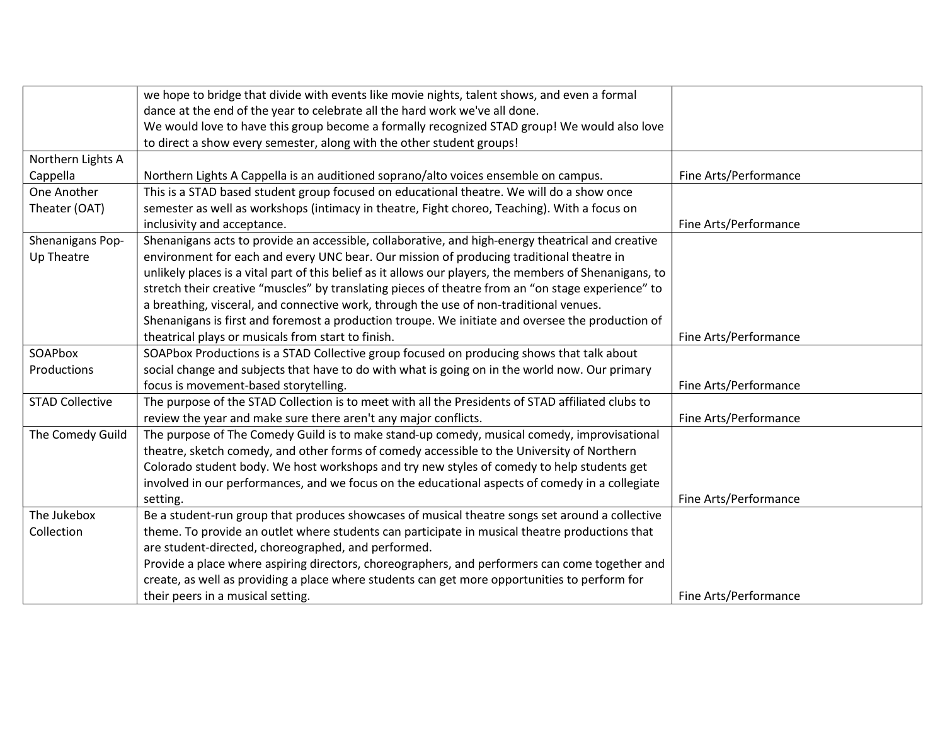|                        | we hope to bridge that divide with events like movie nights, talent shows, and even a formal            |                       |
|------------------------|---------------------------------------------------------------------------------------------------------|-----------------------|
|                        | dance at the end of the year to celebrate all the hard work we've all done.                             |                       |
|                        | We would love to have this group become a formally recognized STAD group! We would also love            |                       |
|                        | to direct a show every semester, along with the other student groups!                                   |                       |
| Northern Lights A      |                                                                                                         |                       |
| Cappella               | Northern Lights A Cappella is an auditioned soprano/alto voices ensemble on campus.                     | Fine Arts/Performance |
| One Another            | This is a STAD based student group focused on educational theatre. We will do a show once               |                       |
| Theater (OAT)          | semester as well as workshops (intimacy in theatre, Fight choreo, Teaching). With a focus on            |                       |
|                        | inclusivity and acceptance.                                                                             | Fine Arts/Performance |
| Shenanigans Pop-       | Shenanigans acts to provide an accessible, collaborative, and high-energy theatrical and creative       |                       |
| Up Theatre             | environment for each and every UNC bear. Our mission of producing traditional theatre in                |                       |
|                        | unlikely places is a vital part of this belief as it allows our players, the members of Shenanigans, to |                       |
|                        | stretch their creative "muscles" by translating pieces of theatre from an "on stage experience" to      |                       |
|                        | a breathing, visceral, and connective work, through the use of non-traditional venues.                  |                       |
|                        | Shenanigans is first and foremost a production troupe. We initiate and oversee the production of        |                       |
|                        | theatrical plays or musicals from start to finish.                                                      | Fine Arts/Performance |
| SOAPbox                | SOAPbox Productions is a STAD Collective group focused on producing shows that talk about               |                       |
| Productions            | social change and subjects that have to do with what is going on in the world now. Our primary          |                       |
|                        | focus is movement-based storytelling.                                                                   | Fine Arts/Performance |
| <b>STAD Collective</b> | The purpose of the STAD Collection is to meet with all the Presidents of STAD affiliated clubs to       |                       |
|                        | review the year and make sure there aren't any major conflicts.                                         | Fine Arts/Performance |
| The Comedy Guild       | The purpose of The Comedy Guild is to make stand-up comedy, musical comedy, improvisational             |                       |
|                        | theatre, sketch comedy, and other forms of comedy accessible to the University of Northern              |                       |
|                        | Colorado student body. We host workshops and try new styles of comedy to help students get              |                       |
|                        | involved in our performances, and we focus on the educational aspects of comedy in a collegiate         |                       |
|                        | setting.                                                                                                | Fine Arts/Performance |
| The Jukebox            | Be a student-run group that produces showcases of musical theatre songs set around a collective         |                       |
| Collection             | theme. To provide an outlet where students can participate in musical theatre productions that          |                       |
|                        | are student-directed, choreographed, and performed.                                                     |                       |
|                        | Provide a place where aspiring directors, choreographers, and performers can come together and          |                       |
|                        | create, as well as providing a place where students can get more opportunities to perform for           |                       |
|                        | their peers in a musical setting.                                                                       | Fine Arts/Performance |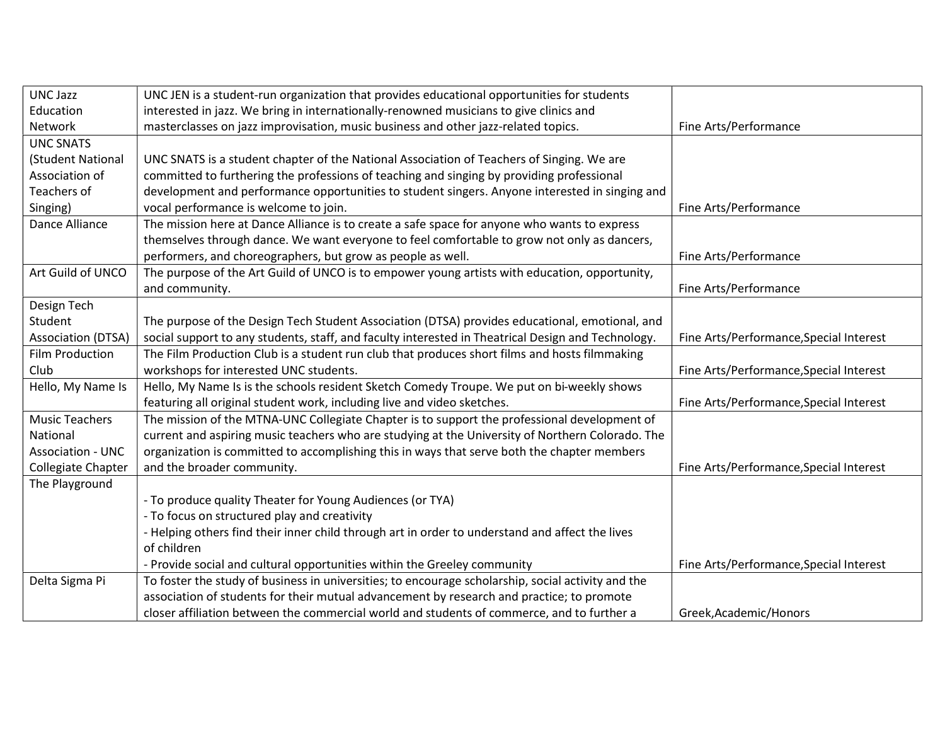| <b>UNC Jazz</b>          | UNC JEN is a student-run organization that provides educational opportunities for students         |                                         |
|--------------------------|----------------------------------------------------------------------------------------------------|-----------------------------------------|
| Education                | interested in jazz. We bring in internationally-renowned musicians to give clinics and             |                                         |
| Network                  | masterclasses on jazz improvisation, music business and other jazz-related topics.                 | Fine Arts/Performance                   |
| <b>UNC SNATS</b>         |                                                                                                    |                                         |
| (Student National        | UNC SNATS is a student chapter of the National Association of Teachers of Singing. We are          |                                         |
| Association of           | committed to furthering the professions of teaching and singing by providing professional          |                                         |
| Teachers of              | development and performance opportunities to student singers. Anyone interested in singing and     |                                         |
| Singing)                 | vocal performance is welcome to join.                                                              | Fine Arts/Performance                   |
| Dance Alliance           | The mission here at Dance Alliance is to create a safe space for anyone who wants to express       |                                         |
|                          | themselves through dance. We want everyone to feel comfortable to grow not only as dancers,        |                                         |
|                          | performers, and choreographers, but grow as people as well.                                        | Fine Arts/Performance                   |
| Art Guild of UNCO        | The purpose of the Art Guild of UNCO is to empower young artists with education, opportunity,      |                                         |
|                          | and community.                                                                                     | Fine Arts/Performance                   |
| Design Tech              |                                                                                                    |                                         |
| Student                  | The purpose of the Design Tech Student Association (DTSA) provides educational, emotional, and     |                                         |
| Association (DTSA)       | social support to any students, staff, and faculty interested in Theatrical Design and Technology. | Fine Arts/Performance, Special Interest |
| Film Production          | The Film Production Club is a student run club that produces short films and hosts filmmaking      |                                         |
| Club                     | workshops for interested UNC students.                                                             | Fine Arts/Performance, Special Interest |
| Hello, My Name Is        | Hello, My Name Is is the schools resident Sketch Comedy Troupe. We put on bi-weekly shows          |                                         |
|                          | featuring all original student work, including live and video sketches.                            | Fine Arts/Performance, Special Interest |
| <b>Music Teachers</b>    | The mission of the MTNA-UNC Collegiate Chapter is to support the professional development of       |                                         |
| National                 | current and aspiring music teachers who are studying at the University of Northern Colorado. The   |                                         |
| <b>Association - UNC</b> | organization is committed to accomplishing this in ways that serve both the chapter members        |                                         |
| Collegiate Chapter       | and the broader community.                                                                         | Fine Arts/Performance, Special Interest |
| The Playground           |                                                                                                    |                                         |
|                          | - To produce quality Theater for Young Audiences (or TYA)                                          |                                         |
|                          | - To focus on structured play and creativity                                                       |                                         |
|                          | - Helping others find their inner child through art in order to understand and affect the lives    |                                         |
|                          | of children                                                                                        |                                         |
|                          | - Provide social and cultural opportunities within the Greeley community                           | Fine Arts/Performance, Special Interest |
| Delta Sigma Pi           | To foster the study of business in universities; to encourage scholarship, social activity and the |                                         |
|                          | association of students for their mutual advancement by research and practice; to promote          |                                         |
|                          | closer affiliation between the commercial world and students of commerce, and to further a         | Greek, Academic/Honors                  |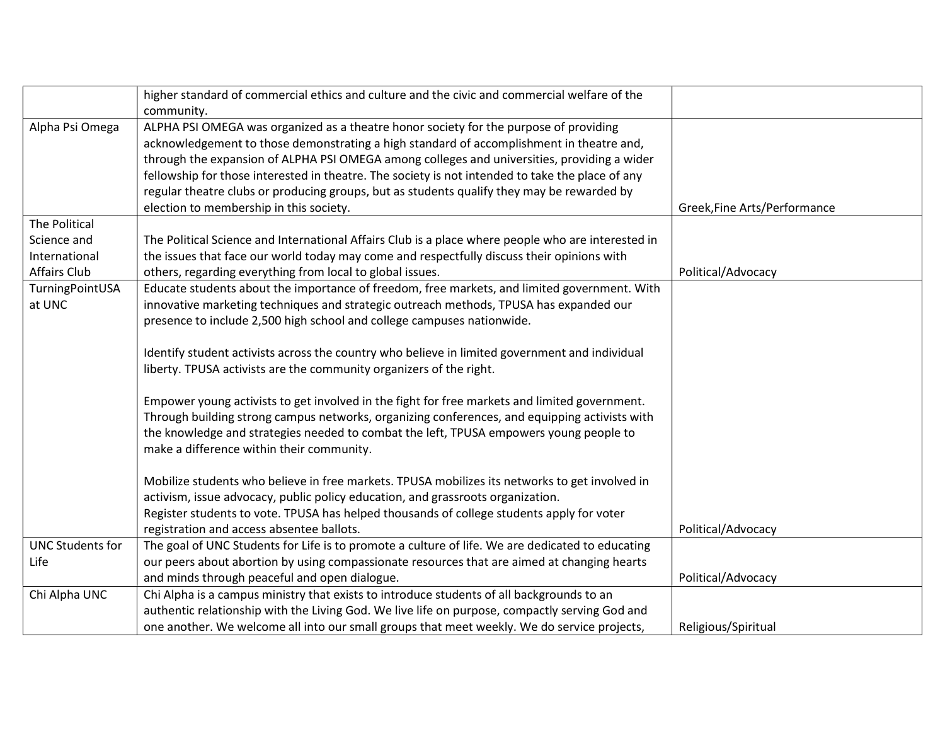|                         | higher standard of commercial ethics and culture and the civic and commercial welfare of the       |                              |
|-------------------------|----------------------------------------------------------------------------------------------------|------------------------------|
|                         | community.                                                                                         |                              |
| Alpha Psi Omega         | ALPHA PSI OMEGA was organized as a theatre honor society for the purpose of providing              |                              |
|                         | acknowledgement to those demonstrating a high standard of accomplishment in theatre and,           |                              |
|                         | through the expansion of ALPHA PSI OMEGA among colleges and universities, providing a wider        |                              |
|                         | fellowship for those interested in theatre. The society is not intended to take the place of any   |                              |
|                         | regular theatre clubs or producing groups, but as students qualify they may be rewarded by         |                              |
|                         | election to membership in this society.                                                            | Greek, Fine Arts/Performance |
| The Political           |                                                                                                    |                              |
| Science and             | The Political Science and International Affairs Club is a place where people who are interested in |                              |
| International           | the issues that face our world today may come and respectfully discuss their opinions with         |                              |
| <b>Affairs Club</b>     | others, regarding everything from local to global issues.                                          | Political/Advocacy           |
| TurningPointUSA         | Educate students about the importance of freedom, free markets, and limited government. With       |                              |
| at UNC                  | innovative marketing techniques and strategic outreach methods, TPUSA has expanded our             |                              |
|                         | presence to include 2,500 high school and college campuses nationwide.                             |                              |
|                         |                                                                                                    |                              |
|                         | Identify student activists across the country who believe in limited government and individual     |                              |
|                         | liberty. TPUSA activists are the community organizers of the right.                                |                              |
|                         |                                                                                                    |                              |
|                         | Empower young activists to get involved in the fight for free markets and limited government.      |                              |
|                         | Through building strong campus networks, organizing conferences, and equipping activists with      |                              |
|                         | the knowledge and strategies needed to combat the left, TPUSA empowers young people to             |                              |
|                         | make a difference within their community.                                                          |                              |
|                         |                                                                                                    |                              |
|                         | Mobilize students who believe in free markets. TPUSA mobilizes its networks to get involved in     |                              |
|                         | activism, issue advocacy, public policy education, and grassroots organization.                    |                              |
|                         | Register students to vote. TPUSA has helped thousands of college students apply for voter          |                              |
|                         | registration and access absentee ballots.                                                          | Political/Advocacy           |
| <b>UNC Students for</b> | The goal of UNC Students for Life is to promote a culture of life. We are dedicated to educating   |                              |
| Life                    | our peers about abortion by using compassionate resources that are aimed at changing hearts        |                              |
|                         | and minds through peaceful and open dialogue.                                                      | Political/Advocacy           |
| Chi Alpha UNC           | Chi Alpha is a campus ministry that exists to introduce students of all backgrounds to an          |                              |
|                         | authentic relationship with the Living God. We live life on purpose, compactly serving God and     |                              |
|                         | one another. We welcome all into our small groups that meet weekly. We do service projects,        | Religious/Spiritual          |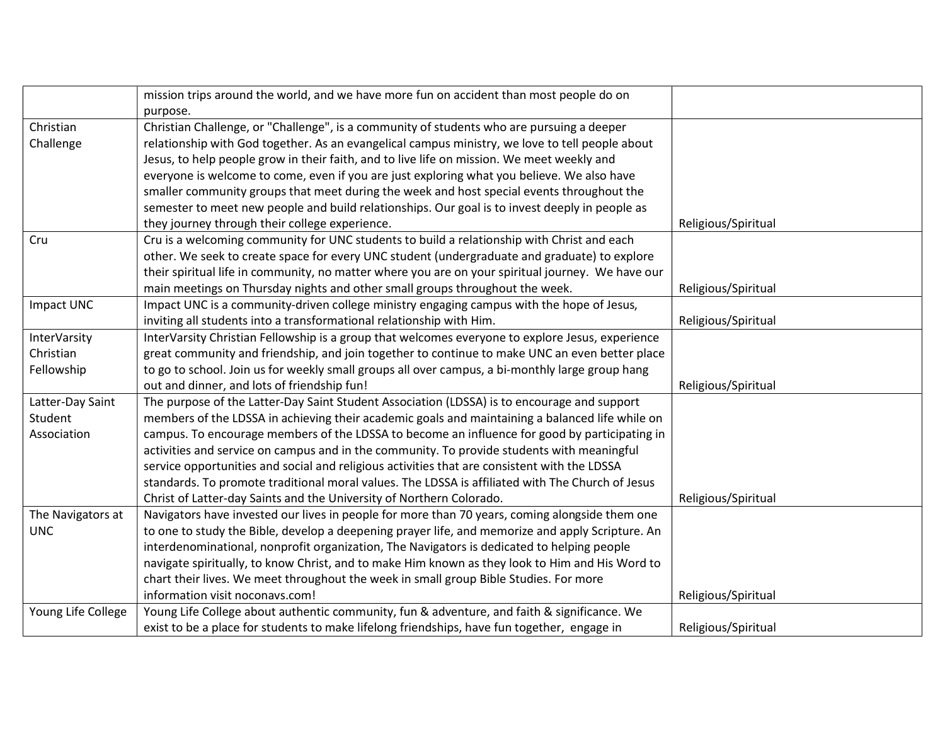|                     | mission trips around the world, and we have more fun on accident than most people do on           |                     |
|---------------------|---------------------------------------------------------------------------------------------------|---------------------|
|                     | purpose.                                                                                          |                     |
| Christian           | Christian Challenge, or "Challenge", is a community of students who are pursuing a deeper         |                     |
| Challenge           | relationship with God together. As an evangelical campus ministry, we love to tell people about   |                     |
|                     | Jesus, to help people grow in their faith, and to live life on mission. We meet weekly and        |                     |
|                     | everyone is welcome to come, even if you are just exploring what you believe. We also have        |                     |
|                     | smaller community groups that meet during the week and host special events throughout the         |                     |
|                     | semester to meet new people and build relationships. Our goal is to invest deeply in people as    |                     |
|                     | they journey through their college experience.                                                    | Religious/Spiritual |
| Cru                 | Cru is a welcoming community for UNC students to build a relationship with Christ and each        |                     |
|                     | other. We seek to create space for every UNC student (undergraduate and graduate) to explore      |                     |
|                     | their spiritual life in community, no matter where you are on your spiritual journey. We have our |                     |
|                     | main meetings on Thursday nights and other small groups throughout the week.                      | Religious/Spiritual |
| Impact UNC          | Impact UNC is a community-driven college ministry engaging campus with the hope of Jesus,         |                     |
|                     | inviting all students into a transformational relationship with Him.                              | Religious/Spiritual |
| <b>InterVarsity</b> | InterVarsity Christian Fellowship is a group that welcomes everyone to explore Jesus, experience  |                     |
| Christian           | great community and friendship, and join together to continue to make UNC an even better place    |                     |
| Fellowship          | to go to school. Join us for weekly small groups all over campus, a bi-monthly large group hang   |                     |
|                     | out and dinner, and lots of friendship fun!                                                       | Religious/Spiritual |
| Latter-Day Saint    | The purpose of the Latter-Day Saint Student Association (LDSSA) is to encourage and support       |                     |
| Student             | members of the LDSSA in achieving their academic goals and maintaining a balanced life while on   |                     |
| Association         | campus. To encourage members of the LDSSA to become an influence for good by participating in     |                     |
|                     | activities and service on campus and in the community. To provide students with meaningful        |                     |
|                     | service opportunities and social and religious activities that are consistent with the LDSSA      |                     |
|                     | standards. To promote traditional moral values. The LDSSA is affiliated with The Church of Jesus  |                     |
|                     | Christ of Latter-day Saints and the University of Northern Colorado.                              | Religious/Spiritual |
| The Navigators at   | Navigators have invested our lives in people for more than 70 years, coming alongside them one    |                     |
| <b>UNC</b>          | to one to study the Bible, develop a deepening prayer life, and memorize and apply Scripture. An  |                     |
|                     | interdenominational, nonprofit organization, The Navigators is dedicated to helping people        |                     |
|                     | navigate spiritually, to know Christ, and to make Him known as they look to Him and His Word to   |                     |
|                     | chart their lives. We meet throughout the week in small group Bible Studies. For more             |                     |
|                     | information visit noconavs.com!                                                                   | Religious/Spiritual |
| Young Life College  | Young Life College about authentic community, fun & adventure, and faith & significance. We       |                     |
|                     | exist to be a place for students to make lifelong friendships, have fun together, engage in       | Religious/Spiritual |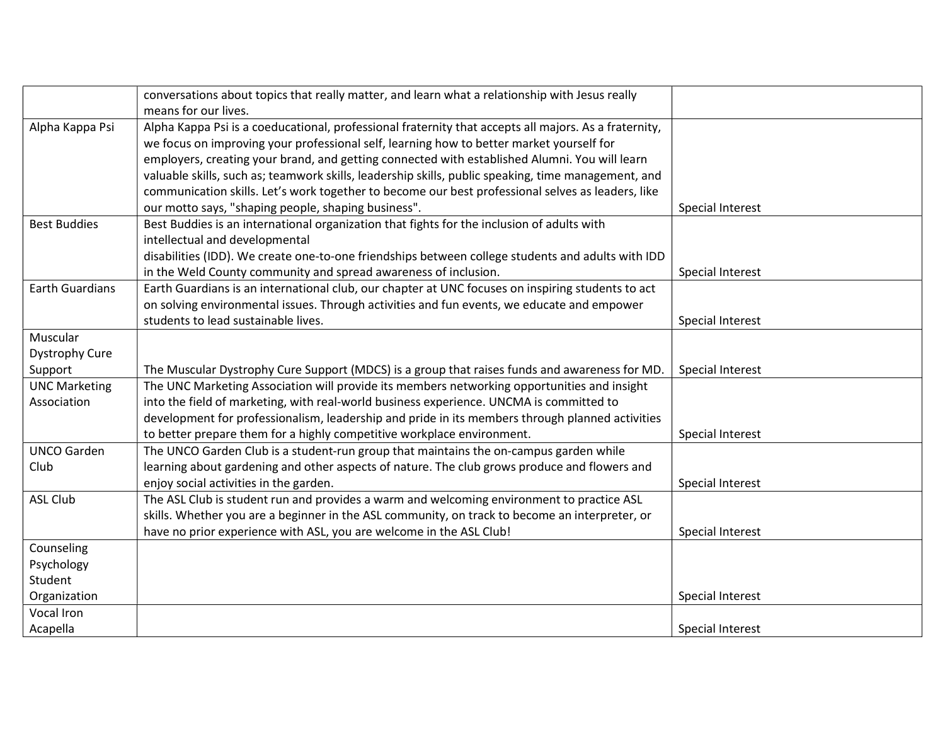|                        | conversations about topics that really matter, and learn what a relationship with Jesus really        |                  |
|------------------------|-------------------------------------------------------------------------------------------------------|------------------|
|                        | means for our lives.                                                                                  |                  |
| Alpha Kappa Psi        | Alpha Kappa Psi is a coeducational, professional fraternity that accepts all majors. As a fraternity, |                  |
|                        | we focus on improving your professional self, learning how to better market yourself for              |                  |
|                        | employers, creating your brand, and getting connected with established Alumni. You will learn         |                  |
|                        | valuable skills, such as; teamwork skills, leadership skills, public speaking, time management, and   |                  |
|                        | communication skills. Let's work together to become our best professional selves as leaders, like     |                  |
|                        | our motto says, "shaping people, shaping business".                                                   | Special Interest |
| <b>Best Buddies</b>    | Best Buddies is an international organization that fights for the inclusion of adults with            |                  |
|                        | intellectual and developmental                                                                        |                  |
|                        | disabilities (IDD). We create one-to-one friendships between college students and adults with IDD     |                  |
|                        | in the Weld County community and spread awareness of inclusion.                                       | Special Interest |
| <b>Earth Guardians</b> | Earth Guardians is an international club, our chapter at UNC focuses on inspiring students to act     |                  |
|                        | on solving environmental issues. Through activities and fun events, we educate and empower            |                  |
|                        | students to lead sustainable lives.                                                                   | Special Interest |
| Muscular               |                                                                                                       |                  |
| <b>Dystrophy Cure</b>  |                                                                                                       |                  |
| Support                | The Muscular Dystrophy Cure Support (MDCS) is a group that raises funds and awareness for MD.         | Special Interest |
| <b>UNC Marketing</b>   | The UNC Marketing Association will provide its members networking opportunities and insight           |                  |
| Association            | into the field of marketing, with real-world business experience. UNCMA is committed to               |                  |
|                        | development for professionalism, leadership and pride in its members through planned activities       |                  |
|                        | to better prepare them for a highly competitive workplace environment.                                | Special Interest |
| <b>UNCO Garden</b>     | The UNCO Garden Club is a student-run group that maintains the on-campus garden while                 |                  |
| Club                   | learning about gardening and other aspects of nature. The club grows produce and flowers and          |                  |
|                        | enjoy social activities in the garden.                                                                | Special Interest |
| <b>ASL Club</b>        | The ASL Club is student run and provides a warm and welcoming environment to practice ASL             |                  |
|                        | skills. Whether you are a beginner in the ASL community, on track to become an interpreter, or        |                  |
|                        | have no prior experience with ASL, you are welcome in the ASL Club!                                   | Special Interest |
| Counseling             |                                                                                                       |                  |
| Psychology             |                                                                                                       |                  |
| Student                |                                                                                                       |                  |
| Organization           |                                                                                                       | Special Interest |
| Vocal Iron             |                                                                                                       |                  |
| Acapella               |                                                                                                       | Special Interest |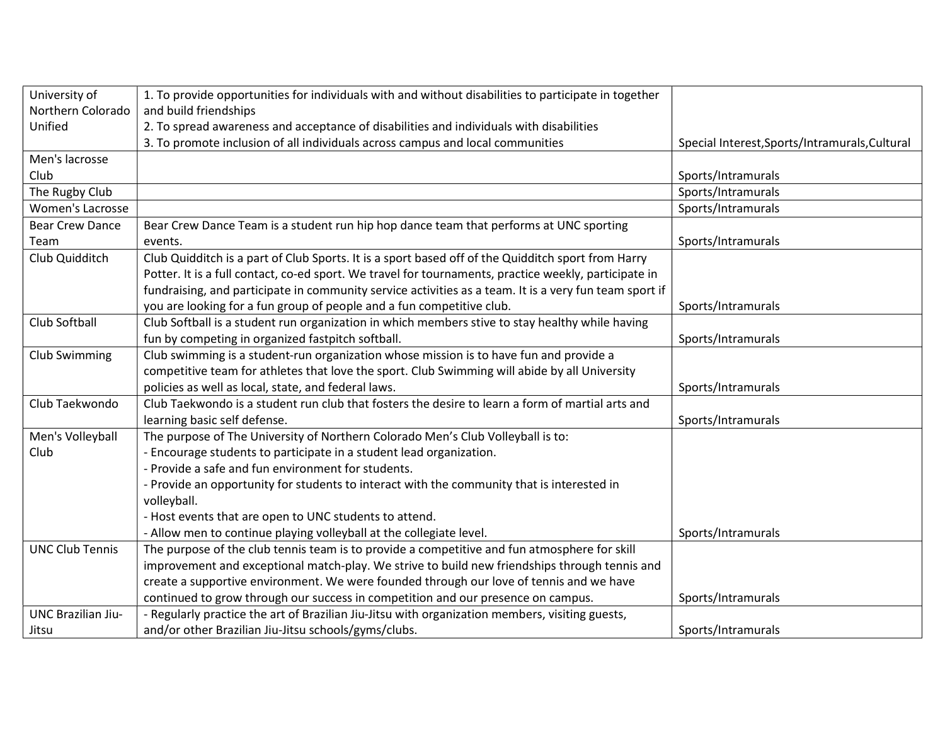| University of             | 1. To provide opportunities for individuals with and without disabilities to participate in together   |                                                |
|---------------------------|--------------------------------------------------------------------------------------------------------|------------------------------------------------|
| Northern Colorado         | and build friendships                                                                                  |                                                |
| Unified                   | 2. To spread awareness and acceptance of disabilities and individuals with disabilities                |                                                |
|                           | 3. To promote inclusion of all individuals across campus and local communities                         | Special Interest, Sports/Intramurals, Cultural |
| Men's lacrosse            |                                                                                                        |                                                |
| Club                      |                                                                                                        | Sports/Intramurals                             |
| The Rugby Club            |                                                                                                        | Sports/Intramurals                             |
| Women's Lacrosse          |                                                                                                        | Sports/Intramurals                             |
| <b>Bear Crew Dance</b>    | Bear Crew Dance Team is a student run hip hop dance team that performs at UNC sporting                 |                                                |
| Team                      | events.                                                                                                | Sports/Intramurals                             |
| Club Quidditch            | Club Quidditch is a part of Club Sports. It is a sport based off of the Quidditch sport from Harry     |                                                |
|                           | Potter. It is a full contact, co-ed sport. We travel for tournaments, practice weekly, participate in  |                                                |
|                           | fundraising, and participate in community service activities as a team. It is a very fun team sport if |                                                |
|                           | you are looking for a fun group of people and a fun competitive club.                                  | Sports/Intramurals                             |
| Club Softball             | Club Softball is a student run organization in which members stive to stay healthy while having        |                                                |
|                           | fun by competing in organized fastpitch softball.                                                      | Sports/Intramurals                             |
| <b>Club Swimming</b>      | Club swimming is a student-run organization whose mission is to have fun and provide a                 |                                                |
|                           | competitive team for athletes that love the sport. Club Swimming will abide by all University          |                                                |
|                           | policies as well as local, state, and federal laws.                                                    | Sports/Intramurals                             |
| Club Taekwondo            | Club Taekwondo is a student run club that fosters the desire to learn a form of martial arts and       |                                                |
|                           | learning basic self defense.                                                                           | Sports/Intramurals                             |
| Men's Volleyball          | The purpose of The University of Northern Colorado Men's Club Volleyball is to:                        |                                                |
| Club                      | - Encourage students to participate in a student lead organization.                                    |                                                |
|                           | - Provide a safe and fun environment for students.                                                     |                                                |
|                           | - Provide an opportunity for students to interact with the community that is interested in             |                                                |
|                           | volleyball.                                                                                            |                                                |
|                           | - Host events that are open to UNC students to attend.                                                 |                                                |
|                           | - Allow men to continue playing volleyball at the collegiate level.                                    | Sports/Intramurals                             |
| <b>UNC Club Tennis</b>    | The purpose of the club tennis team is to provide a competitive and fun atmosphere for skill           |                                                |
|                           | improvement and exceptional match-play. We strive to build new friendships through tennis and          |                                                |
|                           | create a supportive environment. We were founded through our love of tennis and we have                |                                                |
|                           | continued to grow through our success in competition and our presence on campus.                       | Sports/Intramurals                             |
| <b>UNC Brazilian Jiu-</b> | - Regularly practice the art of Brazilian Jiu-Jitsu with organization members, visiting guests,        |                                                |
| Jitsu                     | and/or other Brazilian Jiu-Jitsu schools/gyms/clubs.                                                   | Sports/Intramurals                             |